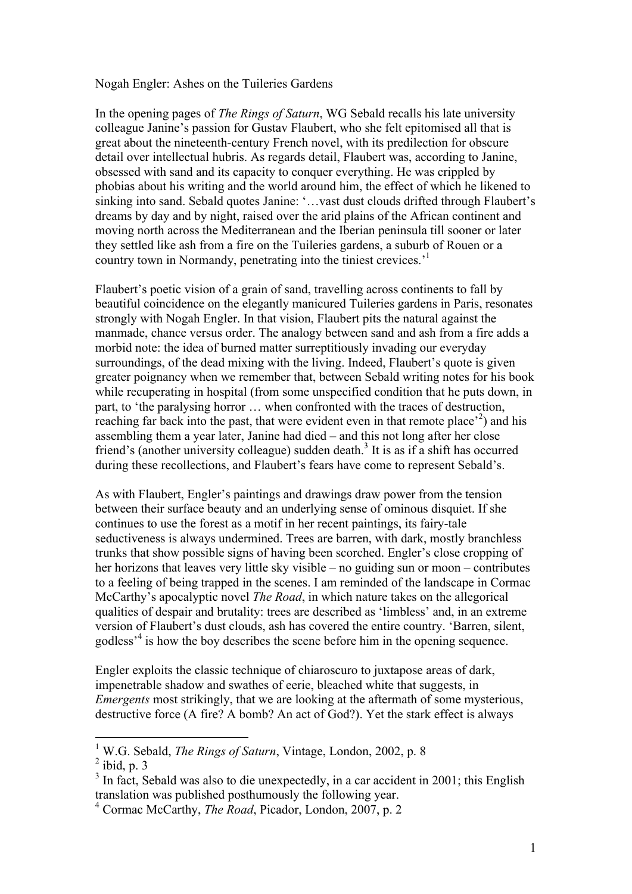## Nogah Engler: Ashes on the Tuileries Gardens

In the opening pages of *The Rings of Saturn*, WG Sebald recalls his late university colleague Janine's passion for Gustav Flaubert, who she felt epitomised all that is great about the nineteenth-century French novel, with its predilection for obscure detail over intellectual hubris. As regards detail, Flaubert was, according to Janine, obsessed with sand and its capacity to conquer everything. He was crippled by phobias about his writing and the world around him, the effect of which he likened to sinking into sand. Sebald quotes Janine: '…vast dust clouds drifted through Flaubert's dreams by day and by night, raised over the arid plains of the African continent and moving north across the Mediterranean and the Iberian peninsula till sooner or later they settled like ash from a fire on the Tuileries gardens, a suburb of Rouen or a country town in Normandy, penetrating into the tiniest crevices.<sup>1</sup>

Flaubert's poetic vision of a grain of sand, travelling across continents to fall by beautiful coincidence on the elegantly manicured Tuileries gardens in Paris, resonates strongly with Nogah Engler. In that vision, Flaubert pits the natural against the manmade, chance versus order. The analogy between sand and ash from a fire adds a morbid note: the idea of burned matter surreptitiously invading our everyday surroundings, of the dead mixing with the living. Indeed, Flaubert's quote is given greater poignancy when we remember that, between Sebald writing notes for his book while recuperating in hospital (from some unspecified condition that he puts down, in part, to 'the paralysing horror … when confronted with the traces of destruction, reaching far back into the past, that were evident even in that remote place<sup>2</sup>) and his assembling them a year later, Janine had died – and this not long after her close friend's (another university colleague) sudden death.<sup>3</sup> It is as if a shift has occurred during these recollections, and Flaubert's fears have come to represent Sebald's.

As with Flaubert, Engler's paintings and drawings draw power from the tension between their surface beauty and an underlying sense of ominous disquiet. If she continues to use the forest as a motif in her recent paintings, its fairy-tale seductiveness is always undermined. Trees are barren, with dark, mostly branchless trunks that show possible signs of having been scorched. Engler's close cropping of her horizons that leaves very little sky visible – no guiding sun or moon – contributes to a feeling of being trapped in the scenes. I am reminded of the landscape in Cormac McCarthy's apocalyptic novel *The Road*, in which nature takes on the allegorical qualities of despair and brutality: trees are described as 'limbless' and, in an extreme version of Flaubert's dust clouds, ash has covered the entire country. 'Barren, silent, godless<sup>34</sup> is how the boy describes the scene before him in the opening sequence.

Engler exploits the classic technique of chiaroscuro to juxtapose areas of dark, impenetrable shadow and swathes of eerie, bleached white that suggests, in *Emergents* most strikingly, that we are looking at the aftermath of some mysterious, destructive force (A fire? A bomb? An act of God?). Yet the stark effect is always

 <sup>1</sup> W.G. Sebald, *The Rings of Saturn*, Vintage, London, 2002, p. 8

 $<sup>2</sup>$  ibid, p. 3</sup>

 $3$  In fact, Sebald was also to die unexpectedly, in a car accident in 2001; this English translation was published posthumously the following year.

<sup>4</sup> Cormac McCarthy, *The Road*, Picador, London, 2007, p. 2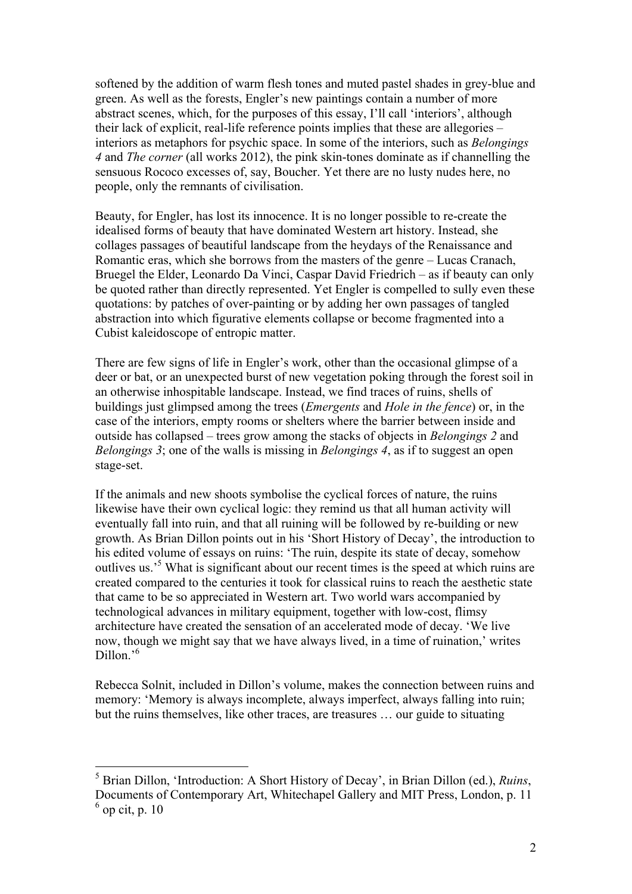softened by the addition of warm flesh tones and muted pastel shades in grey-blue and green. As well as the forests, Engler's new paintings contain a number of more abstract scenes, which, for the purposes of this essay, I'll call 'interiors', although their lack of explicit, real-life reference points implies that these are allegories – interiors as metaphors for psychic space. In some of the interiors, such as *Belongings 4* and *The corner* (all works 2012), the pink skin-tones dominate as if channelling the sensuous Rococo excesses of, say, Boucher. Yet there are no lusty nudes here, no people, only the remnants of civilisation.

Beauty, for Engler, has lost its innocence. It is no longer possible to re-create the idealised forms of beauty that have dominated Western art history. Instead, she collages passages of beautiful landscape from the heydays of the Renaissance and Romantic eras, which she borrows from the masters of the genre – Lucas Cranach, Bruegel the Elder, Leonardo Da Vinci, Caspar David Friedrich – as if beauty can only be quoted rather than directly represented. Yet Engler is compelled to sully even these quotations: by patches of over-painting or by adding her own passages of tangled abstraction into which figurative elements collapse or become fragmented into a Cubist kaleidoscope of entropic matter.

There are few signs of life in Engler's work, other than the occasional glimpse of a deer or bat, or an unexpected burst of new vegetation poking through the forest soil in an otherwise inhospitable landscape. Instead, we find traces of ruins, shells of buildings just glimpsed among the trees (*Emergents* and *Hole in the fence*) or, in the case of the interiors, empty rooms or shelters where the barrier between inside and outside has collapsed – trees grow among the stacks of objects in *Belongings 2* and *Belongings 3*; one of the walls is missing in *Belongings 4*, as if to suggest an open stage-set.

If the animals and new shoots symbolise the cyclical forces of nature, the ruins likewise have their own cyclical logic: they remind us that all human activity will eventually fall into ruin, and that all ruining will be followed by re-building or new growth. As Brian Dillon points out in his 'Short History of Decay', the introduction to his edited volume of essays on ruins: 'The ruin, despite its state of decay, somehow outlives us.'5 What is significant about our recent times is the speed at which ruins are created compared to the centuries it took for classical ruins to reach the aesthetic state that came to be so appreciated in Western art. Two world wars accompanied by technological advances in military equipment, together with low-cost, flimsy architecture have created the sensation of an accelerated mode of decay. 'We live now, though we might say that we have always lived, in a time of ruination,' writes Dillon.'<sup>6</sup>

Rebecca Solnit, included in Dillon's volume, makes the connection between ruins and memory: 'Memory is always incomplete, always imperfect, always falling into ruin; but the ruins themselves, like other traces, are treasures … our guide to situating

 <sup>5</sup> Brian Dillon, 'Introduction: A Short History of Decay', in Brian Dillon (ed.), *Ruins*, Documents of Contemporary Art, Whitechapel Gallery and MIT Press, London, p. 11  $<sup>6</sup>$  op cit, p. 10</sup>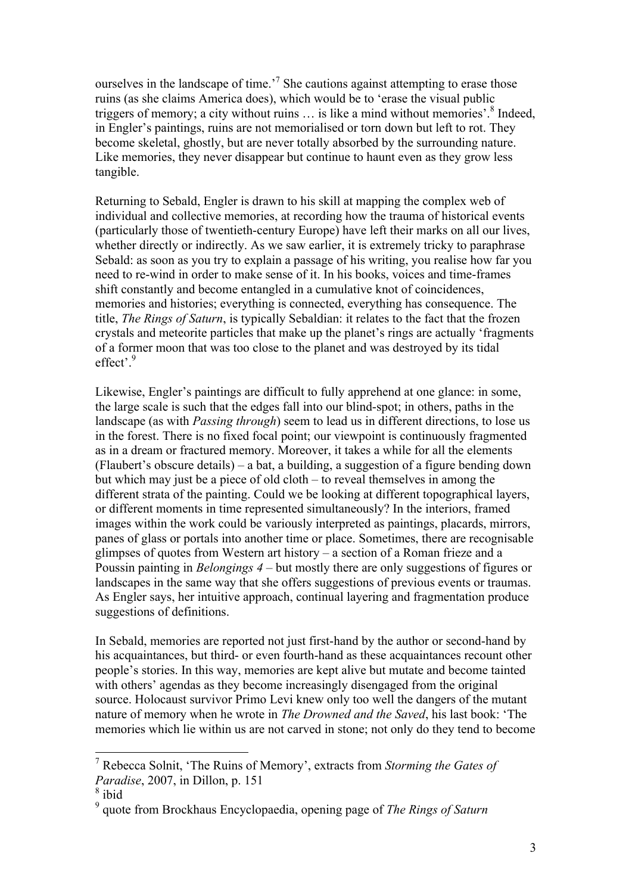ourselves in the landscape of time.<sup>7</sup> She cautions against attempting to erase those ruins (as she claims America does), which would be to 'erase the visual public triggers of memory; a city without ruins  $\ldots$  is like a mind without memories'.<sup>8</sup> Indeed, in Engler's paintings, ruins are not memorialised or torn down but left to rot. They become skeletal, ghostly, but are never totally absorbed by the surrounding nature. Like memories, they never disappear but continue to haunt even as they grow less tangible.

Returning to Sebald, Engler is drawn to his skill at mapping the complex web of individual and collective memories, at recording how the trauma of historical events (particularly those of twentieth-century Europe) have left their marks on all our lives, whether directly or indirectly. As we saw earlier, it is extremely tricky to paraphrase Sebald: as soon as you try to explain a passage of his writing, you realise how far you need to re-wind in order to make sense of it. In his books, voices and time-frames shift constantly and become entangled in a cumulative knot of coincidences, memories and histories; everything is connected, everything has consequence. The title, *The Rings of Saturn*, is typically Sebaldian: it relates to the fact that the frozen crystals and meteorite particles that make up the planet's rings are actually 'fragments of a former moon that was too close to the planet and was destroyed by its tidal effect<sup>, 9</sup>

Likewise, Engler's paintings are difficult to fully apprehend at one glance: in some, the large scale is such that the edges fall into our blind-spot; in others, paths in the landscape (as with *Passing through*) seem to lead us in different directions, to lose us in the forest. There is no fixed focal point; our viewpoint is continuously fragmented as in a dream or fractured memory. Moreover, it takes a while for all the elements (Flaubert's obscure details) – a bat, a building, a suggestion of a figure bending down but which may just be a piece of old cloth – to reveal themselves in among the different strata of the painting. Could we be looking at different topographical layers, or different moments in time represented simultaneously? In the interiors, framed images within the work could be variously interpreted as paintings, placards, mirrors, panes of glass or portals into another time or place. Sometimes, there are recognisable glimpses of quotes from Western art history – a section of a Roman frieze and a Poussin painting in *Belongings 4* – but mostly there are only suggestions of figures or landscapes in the same way that she offers suggestions of previous events or traumas. As Engler says, her intuitive approach, continual layering and fragmentation produce suggestions of definitions.

In Sebald, memories are reported not just first-hand by the author or second-hand by his acquaintances, but third- or even fourth-hand as these acquaintances recount other people's stories. In this way, memories are kept alive but mutate and become tainted with others' agendas as they become increasingly disengaged from the original source. Holocaust survivor Primo Levi knew only too well the dangers of the mutant nature of memory when he wrote in *The Drowned and the Saved*, his last book: 'The memories which lie within us are not carved in stone; not only do they tend to become

 <sup>7</sup> Rebecca Solnit, 'The Ruins of Memory', extracts from *Storming the Gates of Paradise*, 2007, in Dillon, p. 151

 $8$  ibid

<sup>9</sup> quote from Brockhaus Encyclopaedia, opening page of *The Rings of Saturn*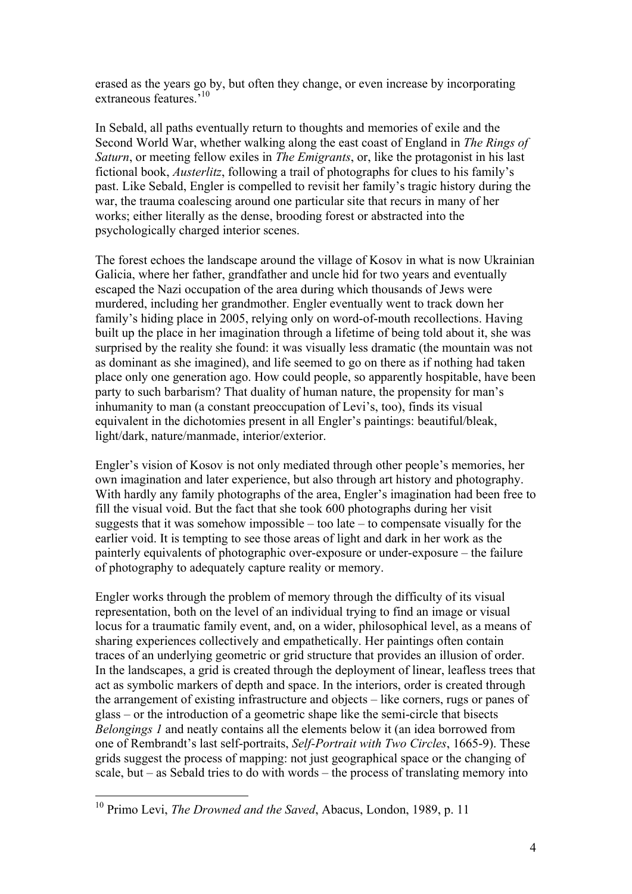erased as the years go by, but often they change, or even increase by incorporating extraneous features.<sup>510</sup>

In Sebald, all paths eventually return to thoughts and memories of exile and the Second World War, whether walking along the east coast of England in *The Rings of Saturn*, or meeting fellow exiles in *The Emigrants*, or, like the protagonist in his last fictional book, *Austerlitz*, following a trail of photographs for clues to his family's past. Like Sebald, Engler is compelled to revisit her family's tragic history during the war, the trauma coalescing around one particular site that recurs in many of her works; either literally as the dense, brooding forest or abstracted into the psychologically charged interior scenes.

The forest echoes the landscape around the village of Kosov in what is now Ukrainian Galicia, where her father, grandfather and uncle hid for two years and eventually escaped the Nazi occupation of the area during which thousands of Jews were murdered, including her grandmother. Engler eventually went to track down her family's hiding place in 2005, relying only on word-of-mouth recollections. Having built up the place in her imagination through a lifetime of being told about it, she was surprised by the reality she found: it was visually less dramatic (the mountain was not as dominant as she imagined), and life seemed to go on there as if nothing had taken place only one generation ago. How could people, so apparently hospitable, have been party to such barbarism? That duality of human nature, the propensity for man's inhumanity to man (a constant preoccupation of Levi's, too), finds its visual equivalent in the dichotomies present in all Engler's paintings: beautiful/bleak, light/dark, nature/manmade, interior/exterior.

Engler's vision of Kosov is not only mediated through other people's memories, her own imagination and later experience, but also through art history and photography. With hardly any family photographs of the area, Engler's imagination had been free to fill the visual void. But the fact that she took 600 photographs during her visit suggests that it was somehow impossible – too late – to compensate visually for the earlier void. It is tempting to see those areas of light and dark in her work as the painterly equivalents of photographic over-exposure or under-exposure – the failure of photography to adequately capture reality or memory.

Engler works through the problem of memory through the difficulty of its visual representation, both on the level of an individual trying to find an image or visual locus for a traumatic family event, and, on a wider, philosophical level, as a means of sharing experiences collectively and empathetically. Her paintings often contain traces of an underlying geometric or grid structure that provides an illusion of order. In the landscapes, a grid is created through the deployment of linear, leafless trees that act as symbolic markers of depth and space. In the interiors, order is created through the arrangement of existing infrastructure and objects – like corners, rugs or panes of glass – or the introduction of a geometric shape like the semi-circle that bisects *Belongings 1* and neatly contains all the elements below it (an idea borrowed from one of Rembrandt's last self-portraits, *Self-Portrait with Two Circles*, 1665-9). These grids suggest the process of mapping: not just geographical space or the changing of scale, but – as Sebald tries to do with words – the process of translating memory into

 <sup>10</sup> Primo Levi, *The Drowned and the Saved*, Abacus, London, 1989, p. 11